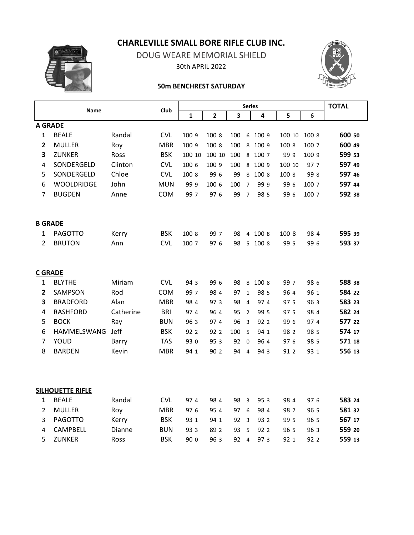**CHARLEVILLE SMALL BORE RIFLE CLUB INC.**



DOUG WEARE MEMORIAL SHIELD 30th APRIL 2022



## **50m BENCHREST SATURDAY**

| <b>Name</b>    |                         | Club      |            | <b>TOTAL</b>   |        |      |                         |         |        |       |        |
|----------------|-------------------------|-----------|------------|----------------|--------|------|-------------------------|---------|--------|-------|--------|
|                |                         |           | 1          | $\overline{2}$ | 3      |      | 4                       | 5       | 6      |       |        |
| <b>A GRADE</b> |                         |           |            |                |        |      |                         |         |        |       |        |
| $\mathbf{1}$   | <b>BEALE</b>            | Randal    | <b>CVL</b> | 100 9          | 100 8  | 100  | 6                       | 100 9   | 100 10 | 100 8 | 600 50 |
| $\overline{2}$ | <b>MULLER</b>           | Roy       | <b>MBR</b> | 100 9          | 100 8  | 100  | 8                       | 100 9   | 100 8  | 100 7 | 600 49 |
| 3              | <b>ZUNKER</b>           | Ross      | <b>BSK</b> | 100 10         | 100 10 | 100  | 8                       | 100 7   | 999    | 100 9 | 599 53 |
| 4              | SONDERGELD              | Clinton   | <b>CVL</b> | 100 6          | 100 9  | 100  | 8                       | 100 9   | 100 10 | 97 7  | 597 49 |
| 5              | SONDERGELD              | Chloe     | <b>CVL</b> | 100 8          | 99 6   | 99   | $\,8\,$                 | 100 8   | 100 8  | 998   | 597 46 |
| 6              | <b>WOOLDRIDGE</b>       | John      | <b>MUN</b> | 999            | 100 6  | 100  | $\overline{7}$          | 999     | 99 6   | 100 7 | 597 44 |
| 7              | <b>BUGDEN</b>           | Anne      | COM        | 99 7           | 97 6   | 99   | $\overline{7}$          | 98 5    | 99 6   | 100 7 | 592 38 |
|                | <b>B GRADE</b>          |           |            |                |        |      |                         |         |        |       |        |
| 1              | <b>PAGOTTO</b>          | Kerry     | <b>BSK</b> | 100 8          | 99 7   | 98   | $\overline{4}$          | 100 8   | 100 8  | 98 4  | 595 39 |
| $\overline{2}$ | <b>BRUTON</b>           | Ann       | <b>CVL</b> | 100 7          | 97 6   | 98   |                         | 5 100 8 | 99 5   | 99 6  | 593 37 |
|                | <b>C GRADE</b>          |           |            |                |        |      |                         |         |        |       |        |
| 1              | <b>BLYTHE</b>           | Miriam    | <b>CVL</b> | 94 3           | 99 6   | 98   | 8                       | 100 8   | 99 7   | 98 6  | 588 38 |
| $\overline{2}$ | SAMPSON                 | Rod       | COM        | 99 7           | 98 4   | 97   | $\mathbf 1$             | 98 5    | 96 4   | 96 1  | 584 22 |
| 3              | <b>BRADFORD</b>         | Alan      | <b>MBR</b> | 98 4           | 97 3   | 98   | $\overline{4}$          | 97 4    | 97 5   | 96 3  | 583 23 |
| 4              | <b>RASHFORD</b>         | Catherine | <b>BRI</b> | 97 4           | 96 4   | 95   | $\overline{2}$          | 99 5    | 97 5   | 98 4  | 582 24 |
| 5              | <b>BOCK</b>             | Ray       | <b>BUN</b> | 96 3           | 97 4   | 96   | $\overline{3}$          | 92 2    | 99 6   | 97 4  | 577 22 |
| 6              | HAMMELSWANG             | Jeff      | <b>BSK</b> | 92 2           | 92 2   | 100  | 5                       | 94 1    | 98 2   | 98 5  | 574 17 |
| $\overline{7}$ | YOUD                    | Barry     | <b>TAS</b> | 93 0           | 95 3   | 92 0 |                         | 96 4    | 97 6   | 98 5  | 571 18 |
| 8              | <b>BARDEN</b>           | Kevin     | <b>MBR</b> | 94 1           | 90 2   | 94 4 |                         | 94 3    | 91 2   | 93 1  | 556 13 |
|                | <b>SILHOUETTE RIFLE</b> |           |            |                |        |      |                         |         |        |       |        |
| 1              | <b>BEALE</b>            | Randal    | <b>CVL</b> | 974            | 98 4   | 98 3 |                         | 95 3    | 984    | 97 6  | 583 24 |
| $\overline{2}$ | <b>MULLER</b>           | Roy       | <b>MBR</b> | 97 6           | 95 4   | 97   | - 6                     | 98 4    | 98 7   | 96 5  | 581 32 |
| 3              | <b>PAGOTTO</b>          | Kerry     | <b>BSK</b> | 93 1           | 94 1   | 92   | $\overline{\mathbf{3}}$ | 93 2    | 99 5   | 96 5  | 567 17 |
| 4              | <b>CAMPBELL</b>         | Dianne    | <b>BUN</b> | 93 3           | 89 2   | 93   | - 5                     | 92 2    | 96 5   | 96 3  | 559 20 |
| 5              | <b>ZUNKER</b>           | Ross      | <b>BSK</b> | 90 o           | 96 3   | 92   | $\overline{4}$          | 973     | 92 1   | 92 2  | 559 13 |